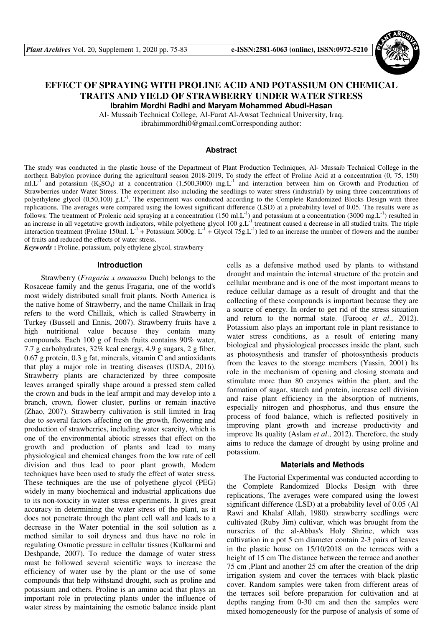

# **EFFECT OF SPRAYING WITH PROLINE ACID AND POTASSIUM ON CHEMICAL TRAITS AND YIELD OF STRAWBERRY UNDER WATER STRESS Ibrahim Mordhi Radhi and Maryam Mohammed Abudl-Hasan**

Al- Mussaib Technical College, Al-Furat Al-Awsat Technical University, Iraq.

ibrahimmordhi0@gmail.comCorresponding author:

### **Abstract**

The study was conducted in the plastic house of the Department of Plant Production Techniques, Al- Mussaib Technical College in the northern Babylon province during the agricultural season 2018-2019, To study the effect of Proline Acid at a concentration (0, 75, 150) ml.L<sup>-1</sup> and potassium  $(K_2SO_4)$  at a concentration (1,500,3000) mg.L<sup>-1</sup> and interaction between him on Growth and Production of Strawberries under Water Stress. The experiment also including the seedlings to water stress (industrial) by using three concentrations of polyethylene glycol (0,50,100) g.L<sup>-1</sup>. The experiment was conducted according to the Complete Randomized Blocks Design with three replications, The averages were compared using the lowest significant difference (LSD) at a probability level of 0.05. The results were as follows: The treatment of Prolenic acid spraying at a concentration (150 ml.L<sup>-1</sup>) and potassium at a concentration (3000 mg.L<sup>-1</sup>) resulted in an increase in all vegetative growth indicators, while polyethene glycol  $100$  g.L<sup>-1</sup> treatment caused a decrease in all studied traits. The triple interaction treatment (Proline 150ml.  $L^{-1}$  + Potassium 3000g.  $L^{-1}$  + Glycol 75g.L<sup>-1</sup>) led to an increase the number of flowers and the number of fruits and reduced the effects of water stress.

*Keywords* **:** Proline, potassium, poly ethylene glycol, strawberry

#### **Introduction**

Strawberry (*Fragaria x ananassa* Duch) belongs to the Rosaceae family and the genus Fragaria, one of the world's most widely distributed small fruit plants. North America is the native home of Strawberry, and the name Chillaik in Iraq refers to the word Chillaik, which is called Strawberry in Turkey (Bussell and Ennis, 2007). Strawberry fruits have a high nutritional value because they contain many compounds. Each 100 g of fresh fruits contains 90% water, 7.7 g carbohydrates, 32% kcal energy, 4.9 g sugars, 2 g fiber, 0.67 g protein, 0.3 g fat, minerals, vitamin C and antioxidants that play a major role in treating diseases (USDA, 2016). Strawberry plants are characterized by three composite leaves arranged spirally shape around a pressed stem called the crown and buds in the leaf armpit and may develop into a branch, crown, flower cluster, purlins or remain inactive (Zhao, 2007). Strawberry cultivation is still limited in Iraq due to several factors affecting on the growth, flowering and production of strawberries, including water scarcity, which is one of the environmental abiotic stresses that effect on the growth and production of plants and lead to many physiological and chemical changes from the low rate of cell division and thus lead to poor plant growth, Modern techniques have been used to study the effect of water stress. These techniques are the use of polyethene glycol (PEG) widely in many biochemical and industrial applications due to its non-toxicity in water stress experiments. It gives great accuracy in determining the water stress of the plant, as it does not penetrate through the plant cell wall and leads to a decrease in the Water potential in the soil solution as a method similar to soil dryness and thus have no role in regulating Osmotic pressure in cellular tissues (Kulkarmi and Deshpande, 2007). To reduce the damage of water stress must be followed several scientific ways to increase the efficiency of water use by the plant or the use of some compounds that help withstand drought, such as proline and potassium and others. Proline is an amino acid that plays an important role in protecting plants under the influence of water stress by maintaining the osmotic balance inside plant cells as a defensive method used by plants to withstand drought and maintain the internal structure of the protein and cellular membrane and is one of the most important means to reduce cellular damage as a result of drought and that the collecting of these compounds is important because they are a source of energy. In order to get rid of the stress situation and return to the normal state. (Farooq *et al*., 2012). Potassium also plays an important role in plant resistance to water stress conditions, as a result of entering many biological and physiological processes inside the plant, such as photosynthesis and transfer of photosynthesis products from the leaves to the storage members (Yassin, 2001) Its role in the mechanism of opening and closing stomata and stimulate more than 80 enzymes within the plant, and the formation of sugar, starch and protein, increase cell division and raise plant efficiency in the absorption of nutrients, especially nitrogen and phosphorus, and thus ensure the process of food balance, which is reflected positively in improving plant growth and increase productivity and improve Its quality (Aslam *et al*., 2012). Therefore, the study aims to reduce the damage of drought by using proline and potassium.

#### **Materials and Methods**

The Factorial Experimental was conducted according to the Complete Randomized Blocks Design with three replications, The averages were compared using the lowest significant difference (LSD) at a probability level of 0.05 (Al Rawi and Khalaf Allah, 1980). strawberry seedlings were cultivated (Ruby Jim) cultivar, which was brought from the nurseries of the al-Abbas's Holy Shrine, which was cultivation in a pot 5 cm diameter contain 2-3 pairs of leaves in the plastic house on 15/10/2018 on the terraces with a height of 15 cm The distance between the terrace and another 75 cm ,Plant and another 25 cm after the creation of the drip irrigation system and cover the terraces with black plastic cover. Random samples were taken from different areas of the terraces soil before preparation for cultivation and at depths ranging from 0-30 cm and then the samples were mixed homogeneously for the purpose of analysis of some of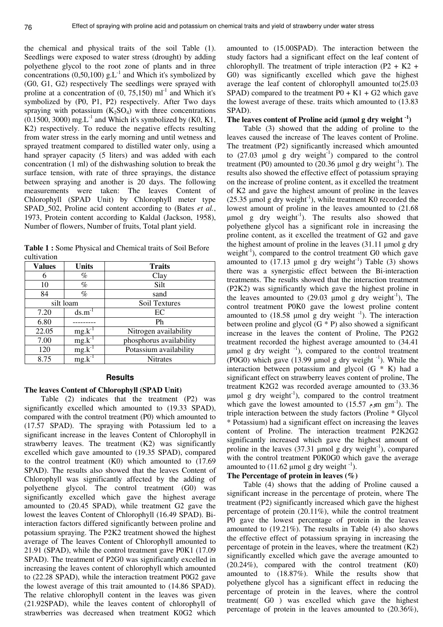the chemical and physical traits of the soil Table (1). Seedlings were exposed to water stress (drought) by adding polyethene glycol to the root zone of plants and in three concentrations (0,50,100)  $g.L^{-1}$  and Which it's symbolized by (G0, G1, G2) respectively The seedlings were sprayed with proline at a concentration of  $(0, 75,150)$  ml<sup>-1</sup> and Which it's symbolized by (P0, P1, P2) respectively. After Two days spraying with potassium  $(K_2SO_4)$  with three concentrations  $(0.1500, 3000)$  mg. L<sup>-1</sup> and Which it's symbolized by (K0, K1, K2) respectively. To reduce the negative effects resulting from water stress in the early morning and until wetness and sprayed treatment compared to distilled water only, using a hand sprayer capacity (5 liters) and was added with each concentration (1 ml) of the dishwashing solution to break the surface tension, with rate of three sprayings, the distance between spraying and another is 20 days. The following measurements were taken: The leaves Content of Chlorophyll (SPAD Unit) by Chlorophyll meter type SPAD\_502, Proline acid content according to (Bates *et al.*, 1973, Protein content according to Kaldal (Jackson, 1958), Number of flowers, Number of fruits, Total plant yield.

**Table 1 :** Some Physical and Chemical traits of Soil Before cultivation

| <b>Values</b> | <b>Units</b> | <b>Traits</b>           |
|---------------|--------------|-------------------------|
| 6             | %            | Clay                    |
| 10            | $\%$         | Silt                    |
| 84            | $\%$         | sand                    |
|               | silt loam    | Soil Textures           |
| 7.20          | $ds.m^{-1}$  | EC                      |
| 6.80          |              | Ph                      |
| 22.05         | $mg.k^{-1}$  | Nitrogen availability   |
| 7.00          | $mg.k^{-1}$  | phosphorus availability |
| 120           | $mg.k^{-1}$  | Potassium availability  |
| 8.75          | $mg.k^{-1}$  | <b>Nitrates</b>         |

## **Results**

#### **The leaves Content of Chlorophyll (SPAD Unit)**

Table (2) indicates that the treatment (P2) was significantly excelled which amounted to (19.33 SPAD), compared with the control treatment (P0) which amounted to (17.57 SPAD). The spraying with Potassium led to a significant increase in the leaves Content of Chlorophyll in strawberry leaves. The treatment (K2) was significantly excelled which gave amounted to (19.35 SPAD), compared to the control treatment (K0) which amounted to (17.69 SPAD). The results also showed that the leaves Content of Chlorophyll was significantly affected by the adding of polyethene glycol. The control treatment (G0) was significantly excelled which gave the highest average amounted to (20.45 SPAD), while treatment G2 gave the lowest the leaves Content of Chlorophyll (16.49 SPAD). Biinteraction factors differed significantly between proline and potassium spraying. The P2K2 treatment showed the highest average of The leaves Content of Chlorophyll amounted to 21.91 (SPAD), while the control treatment gave P0K1 (17.09 SPAD). The treatment of P2G0 was significantly excelled in increasing the leaves content of chlorophyll which amounted to (22.28 SPAD), while the interaction treatment P0G2 gave the lowest average of this trait amounted to (14.86 SPAD). The relative chlorophyll content in the leaves was given (21.92SPAD), while the leaves content of chlorophyll of strawberries was decreased when treatment K0G2 which

amounted to (15.00SPAD). The interaction between the study factors had a significant effect on the leaf content of chlorophyll. The treatment of triple interaction  $(P2 + K2 +$ G0) was significantly excelled which gave the highest average the leaf content of chlorophyll amounted to(25.03 SPAD) compared to the treatment  $P0 + K1 + G2$  which gave the lowest average of these. traits which amounted to (13.83 SPAD).

### The leaves content of Proline acid ( $\mu$ mol g dry weight <sup>-1</sup>)

Table (3) showed that the adding of proline to the leaves caused the increase of The leaves content of Proline. The treatment (P2) significantly increased which amounted to  $(27.03 \text{ \mu mol g dry weight}^{-1})$  compared to the control treatment (P0) amounted to  $(20.36 \mu mol g$  dry weight<sup>-1</sup>). The results also showed the effective effect of potassium spraying on the increase of proline content, as it excelled the treatment of K2 and gave the highest amount of proline in the leaves (25.35 µmol g dry weight<sup>-1</sup>), while treatment K0 recorded the lowest amount of proline in the leaves amounted to (21.68  $\mu$ mol g dry weight<sup>-1</sup>). The results also showed that polyethene glycol has a significant role in increasing the proline content, as it excelled the treatment of G2 and gave the highest amount of proline in the leaves  $(31.11 \text{ mm})$  g dry weight<sup>-1</sup>), compared to the control treatment  $G_0$  which gave amounted to  $(17.13 \text{ \mu mol g dry weight}^{-1})$  Table  $(3)$  shows there was a synergistic effect between the Bi-interaction treatments. The results showed that the interaction treatment (P2K2) was significantly which gave the highest proline in the leaves amounted to  $(29.03 \text{ \mu mol g dry weight}^{-1})$ , The control treatment P0K0 gave the lowest proline content amounted to  $(18.58 \text{ mm})$  g dry weight  $^{-1}$ ). The interaction between proline and glycol  $(G * P)$  also showed a significant increase in the leaves the content of Proline, The P2G2 treatment recorded the highest average amounted to (34.41 umol g dry weight  $^{-1}$ ), compared to the control treatment (P0G0) which gave (13.99  $\mu$ mol g dry weight  $^{-1}$ ). While the interaction between potassium and glycol  $(G * K)$  had a significant effect on strawberry leaves content of proline, The treatment K2G2 was recorded average amounted to (33.36  $\mu$ mol g dry weight<sup>-1</sup>), compared to the control treatment which gave the lowest amounted to  $(15.57 \text{ cm} \text{ cm}^{-1})$ . The triple interaction between the study factors (Proline \* Glycol \* Potassium) had a significant effect on increasing the leaves content of Proline. The interaction treatment P2K2G2 significantly increased which gave the highest amount of proline in the leaves  $(37.31 \text{ \mu mol g dry weight}^{-1})$ , compared with the control treatment P0K0G0 which gave the average amounted to  $(11.62 \mu \text{mol g dry weight}^{-1})$ .

#### **The Percentage of protein in leaves (%)**

Table (4) shows that the adding of Proline caused a significant increase in the percentage of protein, where The treatment (P2) significantly increased which gave the highest percentage of protein (20.11%), while the control treatment P0 gave the lowest percentage of protein in the leaves amounted to (19.21%). The results in Table (4) also shows the effective effect of potassium spraying in increasing the percentage of protein in the leaves, where the treatment (K2) significantly excelled which gave the average amounted to (20.24%), compared with the control treatment (K0) amounted to (18.87%). While the results show that polyethene glycol has a significant effect in reducing the percentage of protein in the leaves, where the control treatment( G0 ) was excelled which gave the highest percentage of protein in the leaves amounted to (20.36%),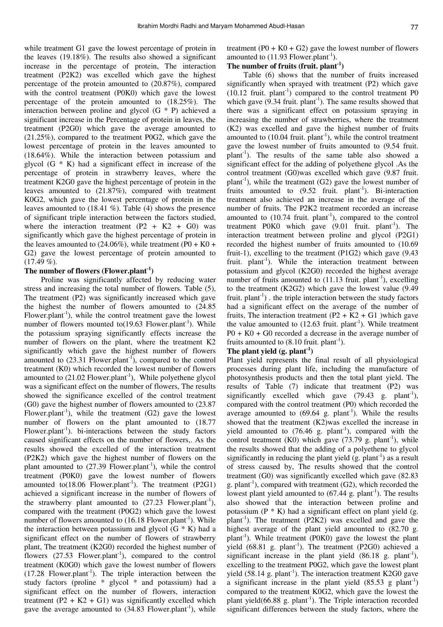while treatment G1 gave the lowest percentage of protein in the leaves (19.18%). The results also showed a significant increase in the percentage of protein, The interaction treatment (P2K2) was excelled which gave the highest percentage of the protein amounted to (20.87%), compared with the control treatment (P0K0) which gave the lowest percentage of the protein amounted to (18.25%). The interaction between proline and glycol (G \* P) achieved a significant increase in the Percentage of protein in leaves, the treatment (P2G0) which gave the average amounted to (21.25%), compared to the treatment P0G2, which gave the lowest percentage of protein in the leaves amounted to (18.64%). While the interaction between potassium and glycol  $(G * K)$  had a significant effect in increase of the percentage of protein in strawberry leaves, where the treatment K2G0 gave the highest percentage of protein in the leaves amounted to (21.87%), compared with treatment K0G2, which gave the lowest percentage of protein in the leaves amounted to (18.41 %). Table (4) shows the presence of significant triple interaction between the factors studied, where the interaction treatment  $(P2 + K2 + G0)$  was significantly which gave the highest percentage of protein in the leaves amounted to  $(24.06\%)$ , while treatment (P0 + K0 + G2) gave the lowest percentage of protein amounted to  $(17.49\%).$ 

## **The number of flowers (Flower.plant-1)**

Proline was significantly affected by reducing water stress and increasing the total number of flowers. Table (5), The treatment (P2) was significantly increased which gave the highest the number of flowers amounted to (24.85 Flower.plant<sup>-1</sup>), while the control treatment gave the lowest number of flowers mounted to $(19.63 \text{ Flower}, \text{plant}^{-1})$ . While the potassium spraying significantly effects increase the number of flowers on the plant, where the treatment K2 significantly which gave the highest number of flowers amounted to  $(23.31 \text{ Flower}, \text{plant}^{-1})$ , compared to the control treatment (K0) which recorded the lowest number of flowers amounted to  $(21.02 \text{ Flower}, \text{plant}^{-1})$ , While polyethene glycol was a significant effect on the number of flowers, The results showed the significance excelled of the control treatment (G0) gave the highest number of flowers amounted to (23.87 Flower.plant<sup>-1</sup>), while the treatment  $(G2)$  gave the lowest number of flowers on the plant amounted to (18.77 Flower.plant<sup>-1</sup>). bi-interactions between the study factors caused significant effects on the number of flowers,. As the results showed the excelled of the interaction treatment (P2K2) which gave the highest number of flowers on the plant amounted to  $(27.39 \text{ Flower}, \text{plant}^{-1})$ , while the control treatment (P0K0) gave the lowest number of flowers amounted to $(18.06$  Flower.plant<sup>-1</sup>). The treatment (P2G1) achieved a significant increase in the number of flowers of the strawberry plant amounted to  $(27.23 \text{Flower.plant}^{-1})$ , compared with the treatment (P0G2) which gave the lowest number of flowers amounted to  $(16.18 \text{ Flower}, \text{plant}^{-1})$ . While the interaction between potassium and glycol  $(G * K)$  had a significant effect on the number of flowers of strawberry plant, The treatment (K2G0) recorded the highest number of flowers  $(27.53 \text{Flower.plant}^{-1})$ , compared to the control treatment (K0G0) which gave the lowest number of flowers  $(17.28$  Flower.plant<sup>-1</sup>). The triple interaction between the study factors (proline \* glycol \* and potassium) had a significant effect on the number of flowers, interaction treatment  $(P2 + K2 + G1)$  was significantly excelled which gave the average amounted to  $(34.83 \text{ Flower}, \text{plant}^{-1})$ , while

treatment  $(P0 + K0 + G2)$  gave the lowest number of flowers amounted to  $(11.93 \text{ Flower}, \text{plant}^{-1})$ .

# **The number of fruits (fruit. plant-1)**

Table (6) shows that the number of fruits increased significantly when sprayed with treatment (P2) which gave  $(10.12 \text{ fruit. plant}^{-1})$  compared to the control treatment P0 which gave  $(9.34 \text{ fruit. plant}^{-1})$ . The same results showed that there was a significant effect on potassium spraying in increasing the number of strawberries, where the treatment (K2) was excelled and gave the highest number of fruits amounted to  $(10.04 \text{ fruit. plant}^{-1})$ , while the control treatment gave the lowest number of fruits amounted to (9.54 fruit. plant-1). The results of the same table also showed a significant effect for the adding of polyethene glycol .As the control treatment (G0)was excelled which gave (9.87 fruit. plant<sup>-1</sup>), while the treatment (G2) gave the lowest number of fruits amounted to  $(9.52 \text{ fruit. plant}^{-1})$ . Bi-interaction treatment also achieved an increase in the average of the number of fruits. The P2K2 treatment recorded an increase amounted to  $(10.74 \text{ fruit. plant}^{-1})$ , compared to the control treatment P0K0 which gave  $(9.01 \text{ fruit. plant}^{-1})$ . The interaction treatment between proline and glycol (P2G1) recorded the highest number of fruits amounted to (10.69 fruit-1), excelling to the treatment (P1G2) which gave (9.43 fruit.  $plant^{-1}$ ). While the interaction treatment between potassium and glycol (K2G0) recorded the highest average number of fruits amounted to  $(11.13 \text{ fruit. plant}^{-1})$ , excelling to the treatment (K2G2) which gave the lowest value (9.49 fruit.  $\text{plant}^{-1}$ ). the triple interaction between the study factors had a significant effect on the average of the number of fruits, The interaction treatment  $(P2 + K2 + G1)$  which gave the value amounted to  $(12.63$  fruit. plant<sup>-1</sup>). While treatment  $P0 + KO + GO$  recorded a decrease in the average number of fruits amounted to  $(8.10 \text{ fruit. plant}^{-1})$ .

#### **The plant yield (g. plant-1)**

Plant yield represents the final result of all physiological processes during plant life, including the manufacture of photosynthesis products and then the total plant yield. The results of Table (7) indicate that treatment (P2) was significantly excelled which gave  $(79.43 \text{ g. plant}^{-1})$ , compared with the control treatment (P0) which recorded the average amounted to  $(69.64 \text{ g. plant}^{-1})$ . While the results showed that the treatment (K2)was excelled the increase in yield amounted to  $(76.46 \text{ g. plant}^{-1})$ , compared with the control treatment (K0) which gave  $(73.79 \text{ g. plant}^{-1})$ , while the results showed that the adding of a polyethene to glycol significantly in reducing the plant yield  $(g. plant<sup>-1</sup>)$  as a result of stress caused by, The results showed that the control treatment (G0) was significantly excelled which gave (82.83 g. plant<sup>-1</sup>), compared with treatment (G2), which recorded the lowest plant yield amounted to  $(67.44 \text{ g. plant}^{-1})$ . The results also showed that the interaction between proline and potassium  $(P * K)$  had a significant effect on plant yield  $(g.$ plant<sup>-1</sup>). The treatment (P2K2) was excelled and gave the highest average of the plant yield amounted to (82.70 g. plant<sup>-1</sup>). While treatment (P0K0) gave the lowest the plant yield  $(68.81 \text{ g. plant}^{-1})$ . The treatment  $(P2G0)$  achieved a significant increase in the plant yield  $(86.18 \text{ g. plant}^{-1})$ , excelling to the treatment P0G2, which gave the lowest plant yield (58.14 g. plant<sup>-1</sup>). The interaction treatment K2G0 gave a significant increase in the plant yield  $(85.53 \text{ g plant}^{-1})$ compared to the treatment K0G2, which gave the lowest the plant yield(66.88 g. plant<sup>-1</sup>). The Triple interaction recorded significant differences between the study factors, where the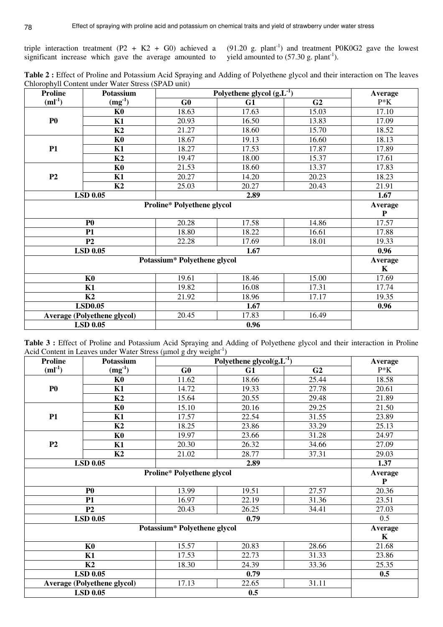triple interaction treatment (P2 + K2 + G0) achieved a significant increase which gave the average amounted to

 $(91.20 \text{ g. plant}^{-1})$  and treatment P0K0G2 gave the lowest yield amounted to  $(57.30 \text{ g. plant}^{-1})$ .

**Table 2 :** Effect of Proline and Potassium Acid Spraying and Adding of Polyethene glycol and their interaction on The leaves Chlorophyll Content under Water Stress (SPAD unit)

| <b>Proline</b>  | Potassium                          | Polyethene glycol $(g.L^{-1})$ | Average |                |             |
|-----------------|------------------------------------|--------------------------------|---------|----------------|-------------|
| $(ml^{-1})$     | $(mg^{-1})$                        | G0                             | G1      | G <sub>2</sub> | $P*K$       |
|                 | K <sub>0</sub>                     | 18.63                          | 17.63   | 15.03          | 17.10       |
| P <sub>0</sub>  | K1                                 | 20.93                          | 16.50   | 13.83          | 17.09       |
|                 | K2                                 | 21.27                          | 18.60   | 15.70          | 18.52       |
|                 | K <sub>0</sub>                     | 18.67                          | 19.13   | 16.60          | 18.13       |
| <b>P1</b>       | K1                                 | 18.27                          | 17.53   | 17.87          | 17.89       |
|                 | K2                                 | 19.47                          | 18.00   | 15.37          | 17.61       |
|                 | K <sub>0</sub>                     | 21.53                          | 18.60   | 13.37          | 17.83       |
| P <sub>2</sub>  | K1                                 | 20.27                          | 14.20   | 20.23          | 18.23       |
|                 | K2                                 | 25.03                          | 20.27   | 20.43          | 21.91       |
|                 | <b>LSD 0.05</b>                    |                                | 1.67    |                |             |
|                 | Average                            |                                |         |                |             |
|                 |                                    |                                |         |                | $\mathbf P$ |
|                 | P <sub>0</sub>                     | 20.28                          | 17.58   | 14.86          | 17.57       |
|                 | <b>P1</b>                          | 18.80                          | 18.22   | 16.61          | 17.88       |
|                 | P <sub>2</sub>                     | 22.28                          | 17.69   | 18.01          | 19.33       |
|                 | <b>LSD 0.05</b>                    | 1.67                           |         |                | 0.96        |
|                 |                                    | Potassium* Polyethene glycol   |         |                | Average     |
|                 |                                    |                                |         |                | $\mathbf K$ |
|                 | K <sub>0</sub>                     | 19.61                          | 18.46   | 15.00          | 17.69       |
| K1              |                                    | 19.82                          | 16.08   | 17.31          | 17.74       |
|                 | K2                                 |                                | 18.96   | 17.17          | 19.35       |
|                 | <b>LSD0.05</b>                     |                                | 1.67    |                | 0.96        |
|                 | <b>Average (Polyethene glycol)</b> | 20.45                          | 17.83   | 16.49          |             |
| <b>LSD 0.05</b> |                                    |                                | 0.96    |                |             |

**Table 3 :** Effect of Proline and Potassium Acid Spraying and Adding of Polyethene glycol and their interaction in Proline Acid Content in Leaves under Water Stress ( $\mu$ mol g dry weight<sup>-1</sup>)

| <b>Proline</b> | Potassium                          | w<br>$\circ$<br>Polyethene glycol $(g.L^{-1})$ | Average |                |                    |  |
|----------------|------------------------------------|------------------------------------------------|---------|----------------|--------------------|--|
| $(ml^{-1})$    | $(mg^{-1})$                        | G <sub>0</sub>                                 | G1      | G <sub>2</sub> | $P*K$              |  |
|                | K <sub>0</sub>                     | 11.62                                          | 18.66   | 25.44          | 18.58              |  |
| P <sub>0</sub> | K1                                 | 14.72                                          | 19.33   | 27.78          | 20.61              |  |
|                | K2                                 | 15.64                                          | 20.55   | 29.48          | 21.89              |  |
|                | K <sub>0</sub>                     | 15.10                                          | 20.16   | 29.25          | 21.50              |  |
| <b>P1</b>      | K1                                 | 17.57                                          | 22.54   | 31.55          | 23.89              |  |
|                | K2                                 | 18.25                                          | 23.86   | 33.29          | 25.13              |  |
|                | K <sub>0</sub>                     | 19.97                                          | 23.66   | 31.28          | 24.97              |  |
| P <sub>2</sub> | K1                                 | 20.30                                          | 26.32   | 34.66          | 27.09              |  |
|                | K2                                 | 21.02                                          | 28.77   | 37.31          | 29.03              |  |
|                | <b>LSD 0.05</b>                    |                                                | 2.89    |                |                    |  |
|                |                                    | <b>Proline* Polyethene glycol</b>              | Average |                |                    |  |
|                |                                    |                                                |         |                | P                  |  |
|                | P <sub>0</sub>                     | 13.99                                          | 19.51   | 27.57          | 20.36              |  |
|                | <b>P1</b>                          | 16.97                                          | 22.19   | 31.36          | 23.51              |  |
|                | P <sub>2</sub>                     | 20.43                                          | 26.25   | 34.41          | 27.03              |  |
|                | <b>LSD 0.05</b>                    | 0.79                                           |         |                | 0.5                |  |
|                |                                    | Potassium* Polyethene glycol                   |         |                | Average            |  |
|                |                                    | 15.57                                          |         |                | K                  |  |
|                | K <sub>0</sub>                     |                                                | 20.83   | 28.66          | $\overline{21.68}$ |  |
| K1             |                                    | 17.53                                          | 22.73   | 31.33          | 23.86              |  |
| K2             |                                    | 18.30                                          | 24.39   | 33.36          | 25.35              |  |
|                | <b>LSD 0.05</b>                    |                                                | 0.79    |                | 0.5                |  |
|                | <b>Average (Polyethene glycol)</b> | 17.13                                          | 22.65   | 31.11          |                    |  |
|                | <b>LSD 0.05</b>                    |                                                | 0.5     |                |                    |  |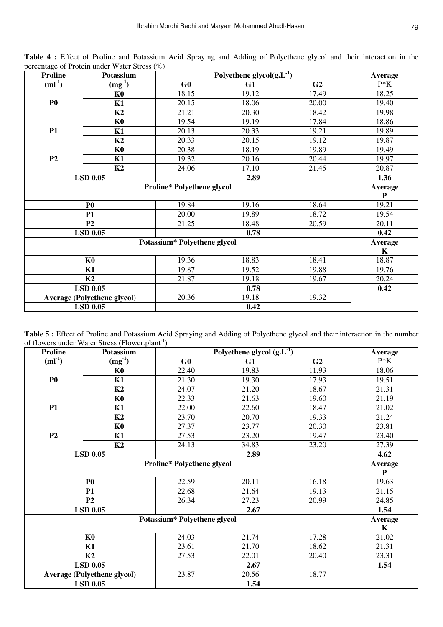| <b>Proline</b>                    | Potassium                          | Polyethene glycol $(g.L^{-1})$ | Average |                |             |  |  |
|-----------------------------------|------------------------------------|--------------------------------|---------|----------------|-------------|--|--|
| $(ml^{-1})$                       | $(mg^{-1})$                        | G <sub>0</sub>                 | G1      | G <sub>2</sub> | $P*K$       |  |  |
|                                   | K <sub>0</sub>                     | 18.15                          | 19.12   | 17.49          | 18.25       |  |  |
| <b>P0</b>                         | K1                                 | 20.15                          | 18.06   | 20.00          | 19.40       |  |  |
|                                   | K2                                 | 21.21                          | 20.30   | 18.42          | 19.98       |  |  |
|                                   | K <sub>0</sub>                     | 19.54                          | 19.19   | 17.84          | 18.86       |  |  |
| <b>P1</b>                         | K1                                 | 20.13                          | 20.33   | 19.21          | 19.89       |  |  |
|                                   | K2                                 | 20.33                          | 20.15   | 19.12          | 19.87       |  |  |
|                                   | K <sub>0</sub>                     | 20.38                          | 18.19   | 19.89          | 19.49       |  |  |
| P <sub>2</sub>                    | K1                                 | 19.32                          | 20.16   | 20.44          | 19.97       |  |  |
|                                   | K2                                 | 24.06                          | 17.10   | 21.45          | 20.87       |  |  |
|                                   | <b>LSD 0.05</b>                    |                                | 2.89    |                |             |  |  |
| <b>Proline* Polyethene glycol</b> |                                    |                                |         |                | Average     |  |  |
|                                   |                                    |                                |         |                | $\mathbf P$ |  |  |
|                                   | P <sub>0</sub>                     | 19.84                          | 19.16   | 18.64          | 19.21       |  |  |
|                                   | <b>P1</b>                          | 20.00                          | 19.89   | 18.72          | 19.54       |  |  |
|                                   | P <sub>2</sub>                     | 21.25                          | 18.48   | 20.59          | 20.11       |  |  |
|                                   | <b>LSD 0.05</b>                    | 0.78                           |         |                | 0.42        |  |  |
|                                   |                                    | Potassium* Polyethene glycol   |         |                | Average     |  |  |
|                                   |                                    | 19.36                          |         |                | K           |  |  |
|                                   | K <sub>0</sub>                     |                                | 18.83   | 18.41          | 18.87       |  |  |
| K1                                |                                    | 19.87<br>21.87                 | 19.52   | 19.88          | 19.76       |  |  |
|                                   | K <sub>2</sub>                     |                                | 19.18   | 19.67          | 20.24       |  |  |
|                                   | <b>LSD 0.05</b>                    |                                | 0.78    |                | 0.42        |  |  |
|                                   | <b>Average (Polyethene glycol)</b> | 20.36                          | 19.18   | 19.32          |             |  |  |
| <b>LSD 0.05</b>                   |                                    |                                | 0.42    |                |             |  |  |

**Table 4 :** Effect of Proline and Potassium Acid Spraying and Adding of Polyethene glycol and their interaction in the percentage of Protein under Water Stress (%)

| Table 5 : Effect of Proline and Potassium Acid Spraying and Adding of Polyethene glycol and their interaction in the number |  |
|-----------------------------------------------------------------------------------------------------------------------------|--|
| of flowers under Water Stress (Flower.plant <sup>-1</sup> )                                                                 |  |

| <b>Proline</b> | of the webs and criterial problems $(1.10 \text{ m})$<br>Potassium | Polyethene glycol $(g.L^{-1})$    | Average |                |             |  |  |
|----------------|--------------------------------------------------------------------|-----------------------------------|---------|----------------|-------------|--|--|
| $(ml^{-1})$    | $(mg^{-1})$                                                        | G0                                | G1      | G <sub>2</sub> | $P*K$       |  |  |
|                | K <sub>0</sub>                                                     | 22.40                             | 19.83   | 11.93          | 18.06       |  |  |
| P <sub>0</sub> | K1                                                                 | 21.30                             | 19.30   | 17.93          | 19.51       |  |  |
|                | K2                                                                 | 24.07                             | 21.20   | 18.67          | 21.31       |  |  |
|                | K <sub>0</sub>                                                     | 22.33                             | 21.63   | 19.60          | 21.19       |  |  |
| <b>P1</b>      | K1                                                                 | 22.00                             | 22.60   | 18.47          | 21.02       |  |  |
|                | K2                                                                 | 23.70                             | 20.70   | 19.33          | 21.24       |  |  |
|                | K <sub>0</sub>                                                     | 27.37                             | 23.77   | 20.30          | 23.81       |  |  |
| P2             | K1                                                                 | 27.53                             | 23.20   | 19.47          | 23.40       |  |  |
|                | K2                                                                 | 24.13                             | 34.83   | 23.20          | 27.39       |  |  |
|                | <b>LSD 0.05</b>                                                    |                                   | 2.89    |                |             |  |  |
|                |                                                                    | <b>Proline* Polyethene glycol</b> |         |                | Average     |  |  |
|                |                                                                    |                                   |         |                | P           |  |  |
|                | P <sub>0</sub>                                                     | 22.59                             | 20.11   | 16.18          | 19.63       |  |  |
|                | <b>P1</b>                                                          | 22.68                             | 21.64   | 19.13          | 21.15       |  |  |
|                | P <sub>2</sub>                                                     | 26.34                             | 27.23   | 20.99          | 24.85       |  |  |
|                | <b>LSD 0.05</b>                                                    |                                   | 1.54    |                |             |  |  |
|                |                                                                    | Potassium* Polyethene glycol      |         |                | Average     |  |  |
|                |                                                                    | 24.03                             |         |                | $\mathbf K$ |  |  |
|                | K <sub>0</sub>                                                     |                                   | 21.74   | 17.28          | 21.02       |  |  |
| K1             |                                                                    | 23.61<br>27.53                    | 21.70   | 18.62          | 21.31       |  |  |
|                | K2                                                                 |                                   | 22.01   | 20.40          | 23.31       |  |  |
|                | <b>LSD 0.05</b>                                                    |                                   | 2.67    |                | 1.54        |  |  |
|                | <b>Average (Polyethene glycol)</b>                                 | 23.87                             | 20.56   | 18.77          |             |  |  |
|                | <b>LSD 0.05</b>                                                    |                                   | 1.54    |                |             |  |  |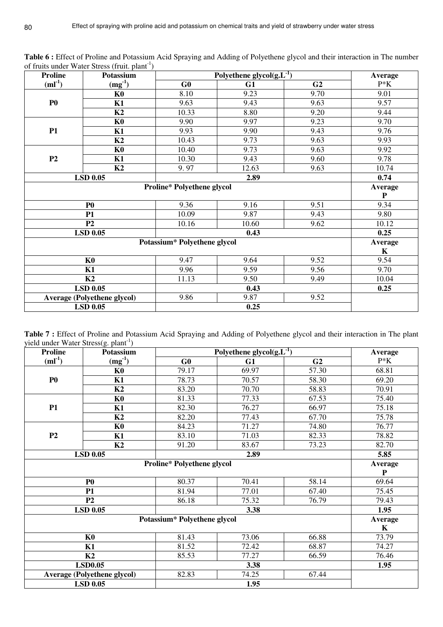| <b>Proline</b>                    | <b>Potassium</b>                   | Polyethene glycol $(g.L^{-1})$ | Average |                |             |  |
|-----------------------------------|------------------------------------|--------------------------------|---------|----------------|-------------|--|
| $(ml^{-1})$                       | $(mg^{-1})$                        | G <sub>0</sub>                 | G1      | G <sub>2</sub> | $P*K$       |  |
|                                   | K <sub>0</sub>                     | 8.10                           | 9.23    | 9.70           | 9.01        |  |
| P <sub>0</sub>                    | K1                                 | 9.63                           | 9.43    | 9.63           | 9.57        |  |
|                                   | K2                                 | 10.33                          | 8.80    | 9.20           | 9.44        |  |
|                                   | K <sub>0</sub>                     | 9.90                           | 9.97    | 9.23           | 9.70        |  |
| <b>P1</b>                         | K1                                 | 9.93                           | 9.90    | 9.43           | 9.76        |  |
|                                   | K2                                 | 10.43                          | 9.73    | 9.63           | 9.93        |  |
|                                   | K <sub>0</sub>                     | 10.40                          | 9.73    | 9.63           | 9.92        |  |
| P <sub>2</sub>                    | K1                                 | 10.30                          | 9.43    | 9.60           | 9.78        |  |
|                                   | K2                                 | 9.97                           | 12.63   | 9.63           | 10.74       |  |
|                                   | <b>LSD 0.05</b>                    |                                | 2.89    |                |             |  |
| <b>Proline* Polyethene glycol</b> |                                    |                                |         |                | Average     |  |
|                                   |                                    |                                |         |                | $\mathbf P$ |  |
|                                   | P <sub>0</sub>                     | 9.36                           | 9.16    | 9.51           | 9.34        |  |
|                                   | 10.09<br>9.87<br>P1                |                                |         | 9.43           | 9.80        |  |
|                                   | P <sub>2</sub>                     | 10.16                          | 10.60   | 9.62           | 10.12       |  |
|                                   | <b>LSD 0.05</b>                    | 0.43                           |         |                | 0.25        |  |
|                                   |                                    | Potassium* Polyethene glycol   |         |                | Average     |  |
|                                   |                                    | 9.47                           |         |                | K           |  |
|                                   | K <sub>0</sub>                     |                                | 9.64    | 9.52           | 9.54        |  |
|                                   | K1                                 |                                | 9.59    | 9.56           | 9.70        |  |
|                                   | K <sub>2</sub>                     |                                | 9.50    | 9.49           | 10.04       |  |
|                                   | <b>LSD 0.05</b>                    |                                | 0.43    |                | 0.25        |  |
|                                   | <b>Average (Polyethene glycol)</b> | 9.86                           | 9.87    | 9.52           |             |  |
|                                   | <b>LSD 0.05</b>                    |                                | 0.25    |                |             |  |

**Table 6 :** Effect of Proline and Potassium Acid Spraying and Adding of Polyethene glycol and their interaction in The number of fruits under Water Stress (fruit. plant<sup>-1</sup>)

| Table 7 : Effect of Proline and Potassium Acid Spraying and Adding of Polyethene glycol and their interaction in The plant |  |  |  |  |
|----------------------------------------------------------------------------------------------------------------------------|--|--|--|--|
| yield under Water Stress $(g.$ plant <sup>-1</sup> )                                                                       |  |  |  |  |

| <b>Proline</b> | $\frac{1}{2}$<br>Potassium         | Polyethene glycol $(g.L^{-1})$    | Average       |                |             |  |  |
|----------------|------------------------------------|-----------------------------------|---------------|----------------|-------------|--|--|
| $(ml^{-1})$    | $(mg^{-1})$                        | G0                                | G1            | G <sub>2</sub> | $P*K$       |  |  |
|                | K <sub>0</sub>                     | 79.17                             | 69.97         | 57.30          | 68.81       |  |  |
| P <sub>0</sub> | K1                                 | 78.73                             | 70.57         | 58.30          | 69.20       |  |  |
|                | K2                                 | 83.20                             | 70.70         | 58.83          | 70.91       |  |  |
|                | K <sub>0</sub>                     | 81.33                             | 77.33         | 67.53          | 75.40       |  |  |
| <b>P1</b>      | K1                                 | 82.30                             | 76.27         | 66.97          | 75.18       |  |  |
|                | K2                                 | 82.20                             | 77.43         | 67.70          | 75.78       |  |  |
|                | K <sub>0</sub>                     | 84.23                             | 71.27         | 74.80          | 76.77       |  |  |
| P2             | K1                                 | 83.10                             | 71.03         | 82.33          | 78.82       |  |  |
|                | K2                                 | 91.20                             | 83.67         | 73.23          | 82.70       |  |  |
|                | <b>LSD 0.05</b>                    |                                   | 2.89          |                |             |  |  |
|                |                                    | <b>Proline* Polyethene glycol</b> | Average       |                |             |  |  |
|                |                                    |                                   |               |                | ${\bf P}$   |  |  |
|                | P <sub>0</sub>                     | 80.37                             | 70.41         | 58.14          | 69.64       |  |  |
|                | <b>P1</b>                          | 81.94                             | 77.01         | 67.40          | 75.45       |  |  |
|                | P <sub>2</sub>                     | 86.18                             | 75.32<br>3.38 | 76.79          | 79.43       |  |  |
|                | <b>LSD 0.05</b>                    |                                   | 1.95          |                |             |  |  |
|                |                                    | Potassium* Polyethene glycol      |               |                | Average     |  |  |
|                |                                    | 81.43                             |               |                | $\mathbf K$ |  |  |
|                | K <sub>0</sub>                     |                                   | 73.06         | 66.88          | 73.79       |  |  |
| K1             |                                    | 81.52<br>85.53                    | 72.42         | 68.87          | 74.27       |  |  |
|                | K2                                 |                                   | 77.27         | 66.59          | 76.46       |  |  |
|                | <b>LSD0.05</b>                     |                                   | 3.38          |                | 1.95        |  |  |
|                | <b>Average (Polyethene glycol)</b> | 82.83                             | 74.25         | 67.44          |             |  |  |
|                | <b>LSD 0.05</b>                    |                                   | 1.95          |                |             |  |  |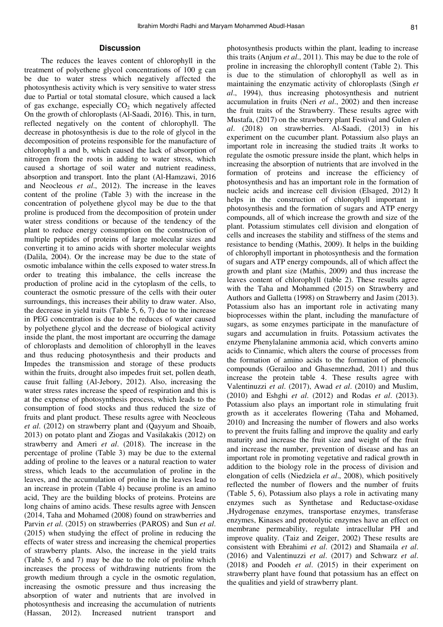## **Discussion**

The reduces the leaves content of chlorophyll in the treatment of polyethene glycol concentrations of 100 g can be due to water stress which negatively affected the photosynthesis activity which is very sensitive to water stress due to Partial or total stomatal closure, which caused a lack of gas exchange, especially  $CO<sub>2</sub>$  which negatively affected On the growth of chloroplasts (Al-Saadi, 2016). This, in turn, reflected negatively on the content of chlorophyll. The decrease in photosynthesis is due to the role of glycol in the decomposition of proteins responsible for the manufacture of chlorophyll a and b, which caused the lack of absorption of nitrogen from the roots in adding to water stress, which caused a shortage of soil water and nutrient readiness, absorption and transport. Into the plant (Al-Hamzawi, 2016 and Neocleous *et al*., 2012). The increase in the leaves content of the proline (Table 3) with the increase in the concentration of polyethene glycol may be due to the that proline is produced from the decomposition of protein under water stress conditions or because of the tendency of the plant to reduce energy consumption on the construction of multiple peptides of proteins of large molecular sizes and converting it to amino acids with shorter molecular weights (Dalila, 2004). Or the increase may be due to the state of osmotic imbalance within the cells exposed to water stress.In order to treating this imbalance, the cells increase the production of proline acid in the cytoplasm of the cells, to counteract the osmotic pressure of the cells with their outer surroundings, this increases their ability to draw water. Also, the decrease in yield traits (Table 5, 6, 7) due to the increase in PEG concentration is due to the reduces of water caused by polyethene glycol and the decrease of biological activity inside the plant, the most important are occurring the damage of chloroplasts and demolition of chlorophyll in the leaves and thus reducing photosynthesis and their products and Impedes the transmission and storage of these products within the fruits, drought also impedes fruit set, pollen death, cause fruit falling (Al-Jebory, 2012). Also, increasing the water stress rates increase the speed of respiration and this is at the expense of photosynthesis process, which leads to the consumption of food stocks and thus reduced the size of fruits and plant product. These results agree with Neocleous *et al*. (2012) on strawberry plant and (Qayyum and Shoaib, 2013) on potato plant and Ziogas and Vasilakakis (2012) on strawberry and Ameri *et al*. (2018). The increase in the percentage of proline (Table 3) may be due to the external adding of proline to the leaves or a natural reaction to water stress, which leads to the accumulation of proline in the leaves, and the accumulation of proline in the leaves lead to an increase in protein (Table 4) because proline is an amino acid, They are the building blocks of proteins. Proteins are long chains of amino acids. These results agree with Jenscen (2014, Taha and Mohamed (2008) found on strawberries and Parvin *et al*. (2015) on strawberries (PAROS) and Sun *et al*. (2015) when studying the effect of proline in reducing the effects of water stress and increasing the chemical properties of strawberry plants. Also, the increase in the yield traits (Table 5, 6 and 7) may be due to the role of proline which increases the process of withdrawing nutrients from the growth medium through a cycle in the osmotic regulation, increasing the osmotic pressure and thus increasing the absorption of water and nutrients that are involved in photosynthesis and increasing the accumulation of nutrients (Hassan, 2012). Increased nutrient transport and photosynthesis products within the plant, leading to increase this traits (Anjum *et al*., 2011). This may be due to the role of proline in increasing the chlorophyll content (Table 2). This is due to the stimulation of chlorophyll as well as in maintaining the enzymatic activity of chloroplasts (Singh *et al*., 1994), thus increasing photosynthesis and nutrient accumulation in fruits (Neri *et al*., 2002) and then increase the fruit traits of the Strawberry. These results agree with Mustafa, (2017) on the strawberry plant Festival and Gulen *et al*. (2018) on strawberries. Al-Saadi, (2013) in his experiment on the cucumber plant. Potassium also plays an important role in increasing the studied traits .It works to regulate the osmotic pressure inside the plant, which helps in increasing the absorption of nutrients that are involved in the formation of proteins and increase the efficiency of photosynthesis and has an important role in the formation of nucleic acids and increase cell division (Elsaged, 2012) It helps in the construction of chlorophyll important in photosynthesis and the formation of sugars and ATP energy compounds, all of which increase the growth and size of the plant. Potassium stimulates cell division and elongation of cells and increases the stability and stiffness of the stems and resistance to bending (Mathis, 2009). It helps in the building of chlorophyll important in photosynthesis and the formation of sugars and ATP energy compounds, all of which affect the growth and plant size (Mathis, 2009) and thus increase the leaves content of chlorophyll (table 2). These results agree with the Taha and Mohammed (2015) on Strawberry and Authors and Galletta (1998) on Strawberry and Jasim (2013). Potassium also has an important role in activating many bioprocesses within the plant, including the manufacture of sugars, as some enzymes participate in the manufacture of sugars and accumulation in fruits. Potassium activates the enzyme Phenylalanine ammonia acid, which converts amino acids to Cinnamic, which alters the course of processes from the formation of amino acids to the formation of phenolic compounds (Gerailoo and Ghasemnezhad, 2011) and thus increase the protein table 4. These results agree with Valentinuzzi *et al*. (2017), Awad *et al*. (2010) and Muslim, (2010) and Eshghi *et al*. (2012) and Rodas *et al*. (2013). Potassium also plays an important role in stimulating fruit growth as it accelerates flowering (Taha and Mohamed, 2010) and Increasing the number of flowers and also works to prevent the fruits falling and improve the quality and early maturity and increase the fruit size and weight of the fruit and increase the number, prevention of disease and has an important role in promoting vegetative and radical growth in addition to the biology role in the process of division and elongation of cells (Niedziela *et al*., 2008), which positively reflected the number of flowers and the number of fruits (Table 5, 6), Potassium also plays a role in activating many enzymes such as Synthetase and Reductase-oxidase ,Hydrogenase enzymes, transportase enzymes, transferase enzymes, Kinases and proteolytic enzymes have an effect on membrane permeability, regulate intracellular PH and improve quality. (Taiz and Zeiger, 2002) These results are consistent with Ebrahimi *et al*. (2012) and Shamaila *et al*. (2016) and Valentinuzzi *et al*. (2017) and Schwarz *et al*. (2018) and Poodeh *et al*. (2015) in their experiment on strawberry plant have found that potassium has an effect on the qualities and yield of strawberry plant.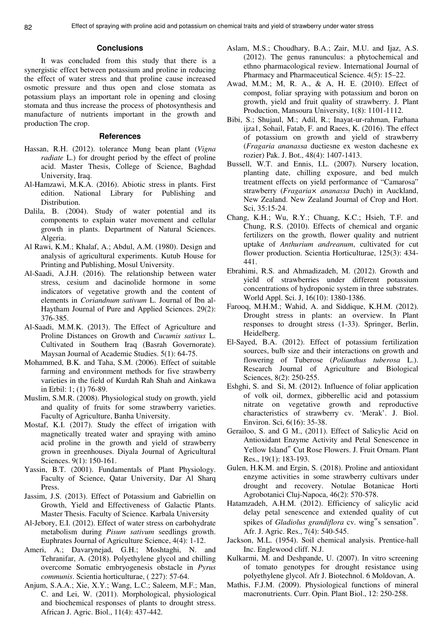## **Conclusions**

It was concluded from this study that there is a synergistic effect between potassium and proline in reducing the effect of water stress and that proline cause increased osmotic pressure and thus open and close stomata as potassium plays an important role in opening and closing stomata and thus increase the process of photosynthesis and manufacture of nutrients important in the growth and production The crop.

#### **References**

- Hassan, R.H. (2012). tolerance Mung bean plant (*Vigna radiate* L.) for drought period by the effect of proline acid. Master Thesis, College of Science, Baghdad University, Iraq.
- Al-Hamzawi, M.K.A. (2016). Abiotic stress in plants. First edition. National Library for Publishing and Distribution.
- Dalila, B. (2004). Study of water potential and its components to explain water movement and cellular growth in plants. Department of Natural Sciences. Algeria.
- Al Rawi, K.M.; Khalaf, A.; Abdul, A.M. (1980). Design and analysis of agricultural experiments. Kutub House for Printing and Publishing, Mosul University.
- Al-Saadi, A.J.H. (2016). The relationship between water stress, cesium and dacinolide hormone in some indicators of vegetative growth and the content of elements in *Coriandnum sativum* L. Journal of Ibn al-Haytham Journal of Pure and Applied Sciences. 29(2): 376-385.
- Al-Saadi, M.M.K. (2013). The Effect of Agriculture and Proline Distances on Growth and *Cucumis sativus* L. Cultivated in Southern Iraq (Basrah Governorate). Maysan Journal of Academic Studies. 5(1): 64-75.
- Mohammed, B.K. and Taha, S.M. (2006). Effect of suitable farming and environment methods for five strawberry varieties in the field of Kurdah Rah Shah and Ainkawa in Erbil: 1; (1) 76-89.
- Muslim, S.M.R. (2008). Physiological study on growth, yield and quality of fruits for some strawberry varieties. Faculty of Agriculture, Banha University.
- Mostaf, K.I. (2017). Study the effect of irrigation with magnetically treated water and spraying with amino acid proline in the growth and yield of strawberry grown in greenhouses. Diyala Journal of Agricultural Sciences. 9(1): 150-161.
- Yassin, B.T. (2001). Fundamentals of Plant Physiology. Faculty of Science, Qatar University, Dar Al Sharq **Press**.
- Jassim, J.S. (2013). Effect of Potassium and Gabriellin on Growth, Yield and Effectiveness of Galactic Plants. Master Thesis. Faculty of Science. Karbala University
- Al-Jebory, E.I. (2012). Effect of water stress on carbohydrate metabolism during *Pisum sativum* seedlings growth. Euphrates Journal of Agriculture Science, 4(4): 1-12.
- Ameri, A.; Davarynejad, G.H.; Moshtaghi, N. and Tehranifar, A. (2018). Polyethylene glycol and chilling overcome Somatic embryogenesis obstacle in *Pyrus communis*. Scientia horticulturae, ( 227): 57-64.
- Anjum, S.A.A.; Xie, X.Y.; Wang, L.C.; Saleem, M.F.; Man, C. and Lei, W. (2011). Morphological, physiological and biochemical responses of plants to drought stress. African J. Agric. Biol., 11(4): 437-442.
- Aslam, M.S.; Choudhary, B.A.; Zair, M.U. and Ijaz, A.S. (2012). The genus ranunculus: a phytochemical and ethno pharmacological review. International Journal of Pharmacy and Pharmaceutical Science. 4(5): 15–22.
- Awad, M.M.; M, R. A., & A, H. E. (2010). Effect of compost, foliar spraying with potassium and boron on growth, yield and fruit quality of strawberry. J. Plant Production, Mansoura University, 1(8): 1101-1112.
- Bibi, S.; Shujaul, M.; Adil, R.; Inayat-ur-rahman, Farhana ijza1, Sohail, Fatab, F. and Raees, K. (2016). The effect of potassium on growth and yield of strawberry (*Fragaria ananassa* ductiesne ex weston dachesne ex rozier) Pak. J. Bot., 48(4): 1407-1413.
- Bussell, W.T. and Ennis, I.L. (2007). Nursery location, planting date, chilling exposure, and bed mulch treatment effects on yield performance of "Camarosa" strawberry (*Fragaria× ananassa* Duch) in Auckland, New Zealand. New Zealand Journal of Crop and Hort. Sci, 35:15-24.
- Chang, K.H.; Wu, R.Y.; Chuang, K.C.; Hsieh, T.F. and Chung, R.S. (2010). Effects of chemical and organic fertilizers on the growth, flower quality and nutrient uptake of *Anthurium andreanum*, cultivated for cut flower production. Scientia Horticulturae, 125(3): 434- 441.
- Ebrahimi, R.S. and Ahmadizadeh, M. (2012). Growth and yield of strawberries under different potassium concentrations of hydroponic system in three substrates. World Appl. Sci. J, 16(10): 1380-1386.
- Farooq, M.H.M.; Wahid, A. and Siddique, K.H.M. (2012). Drought stress in plants: an overview. In Plant responses to drought stress (1-33). Springer, Berlin, Heidelberg.
- El-Sayed, B.A. (2012). Effect of potassium fertilization sources, bulb size and their interactions on growth and flowering of Tuberose (*Polianthus tuberosa* L.). Research Journal of Agriculture and Biological Sciences, 8(2): 250-255.
- Eshghi, S. and Si, M. (2012). Influence of foliar application of volk oil, dormex, gibberellic acid and potassium nitrate on vegetative growth and reproductive characteristics of strawberry cv. 'Merak'. J. Biol. Environ. Sci, 6(16): 35-38.
- Gerailoo, S. and G M., (2011). Effect of Salicylic Acid on Antioxidant Enzyme Activity and Petal Senescence in Yellow Island" Cut Rose Flowers. J. Fruit Ornam. Plant Res., 19(1): 183-193.
- Gulen, H.K.M. and Ergin, S. (2018). Proline and antioxidant enzyme activities in some strawberry cultivars under drought and recovery. Notulae Botanicae Horti Agrobotanici Cluj-Napoca, 46(2): 570-578.
- Hatamzadeh, A.H.M. (2012). Efficiency of salicylic acid delay petal senescence and extended quality of cut spikes of *Gladiolus grandiflora* cv. wing<sup>"</sup>s sensation". Afr. J. Agric. Res., 7(4): 540-545.
- Jackson, M.L. (1954). Soil chemical analysis. Prentice-hall Inc. Englewood cliff. N.J.
- Kulkarmi, M. and Deshpande, U. (2007). In vitro screening of tomato genotypes for drought resistance using polyethylene glycol. Afr J. Biotechnol. 6 Moldovan, A.
- Mathis, F.J.M. (2009). Physiological functions of mineral macronutrients. Curr. Opin. Plant Biol., 12: 250-258.